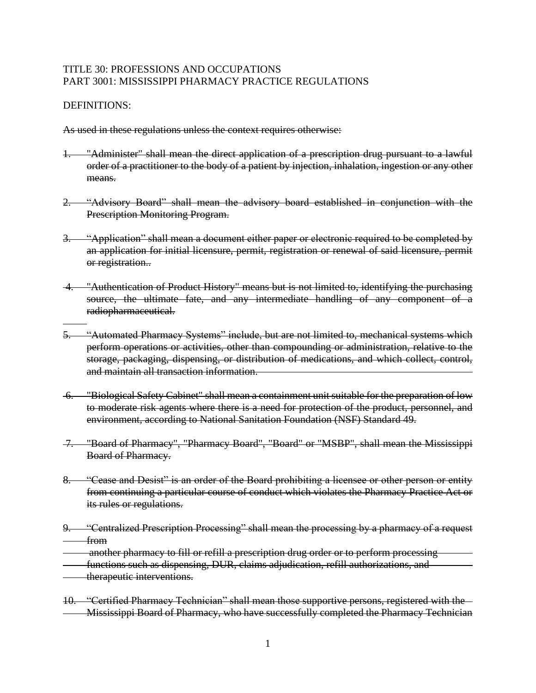## TITLE 30: PROFESSIONS AND OCCUPATIONS PART 3001: MISSISSIPPI PHARMACY PRACTICE REGULATIONS

## DEFINITIONS:

As used in these regulations unless the context requires otherwise:

- 1. "Administer" shall mean the direct application of a prescription drug pursuant to a lawful order of a practitioner to the body of a patient by injection, inhalation, ingestion or any other means.
- "Advisory Board" shall mean the advisory board established in conjunction with the Prescription Monitoring Program.
- 3. "Application" shall mean a document either paper or electronic required to be completed by an application for initial licensure, permit, registration or renewal of said licensure, permit or registration..
- 4. "Authentication of Product History" means but is not limited to, identifying the purchasing source, the ultimate fate, and any intermediate handling of any component of a radiopharmaceutical.
- 5. "Automated Pharmacy Systems" include, but are not limited to, mechanical systems which perform operations or activities, other than compounding or administration, relative to the storage, packaging, dispensing, or distribution of medications, and which collect, control, and maintain all transaction information.
- 6. "Biological Safety Cabinet" shall mean a containment unit suitable for the preparation of low to moderate risk agents where there is a need for protection of the product, personnel, and environment, according to National Sanitation Foundation (NSF) Standard 49.
- 7. "Board of Pharmacy", "Pharmacy Board", "Board" or "MSBP", shall mean the Mississippi Board of Pharmacy.
- 8. "Cease and Desist" is an order of the Board prohibiting a licensee or other person or entity from continuing a particular course of conduct which violates the Pharmacy Practice Act or its rules or regulations.
- 9. "Centralized Prescription Processing" shall mean the processing by a pharmacy of a request from
- another pharmacy to fill or refill a prescription drug order or to perform processing
- functions such as dispensing, DUR, claims adjudication, refill authorizations, and
- therapeutic interventions.
- 10. "Certified Pharmacy Technician" shall mean those supportive persons, registered with the Mississippi Board of Pharmacy, who have successfully completed the Pharmacy Technician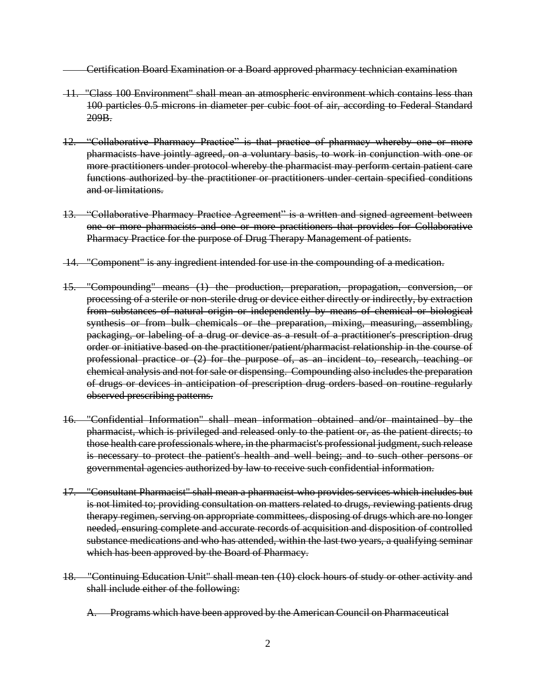Certification Board Examination or a Board approved pharmacy technician examination

- 11. "Class 100 Environment" shall mean an atmospheric environment which contains less than 100 particles 0.5 microns in diameter per cubic foot of air, according to Federal Standard 209B.
- 12. "Collaborative Pharmacy Practice" is that practice of pharmacy whereby one or more pharmacists have jointly agreed, on a voluntary basis, to work in conjunction with one or more practitioners under protocol whereby the pharmacist may perform certain patient care functions authorized by the practitioner or practitioners under certain specified conditions and or limitations.
- 13. "Collaborative Pharmacy Practice Agreement" is a written and signed agreement between one or more pharmacists and one or more practitioners that provides for Collaborative Pharmacy Practice for the purpose of Drug Therapy Management of patients.
- 14. "Component" is any ingredient intended for use in the compounding of a medication.
- 15. "Compounding" means (1) the production, preparation, propagation, conversion, or processing of a sterile or non-sterile drug or device either directly or indirectly, by extraction from substances of natural origin or independently by means of chemical or biological synthesis or from bulk chemicals or the preparation, mixing, measuring, assembling, packaging, or labeling of a drug or device as a result of a practitioner's prescription drug order or initiative based on the practitioner/patient/pharmacist relationship in the course of professional practice or (2) for the purpose of, as an incident to, research, teaching or chemical analysis and not for sale or dispensing. Compounding also includes the preparation of drugs or devices in anticipation of prescription drug orders based on routine regularly observed prescribing patterns.
- 16. "Confidential Information" shall mean information obtained and/or maintained by the pharmacist, which is privileged and released only to the patient or, as the patient directs; to those health care professionals where, in the pharmacist's professional judgment, such release is necessary to protect the patient's health and well being; and to such other persons or governmental agencies authorized by law to receive such confidential information.
- 17. "Consultant Pharmacist" shall mean a pharmacist who provides services which includes but is not limited to; providing consultation on matters related to drugs, reviewing patients drug therapy regimen, serving on appropriate committees, disposing of drugs which are no longer needed, ensuring complete and accurate records of acquisition and disposition of controlled substance medications and who has attended, within the last two years, a qualifying seminar which has been approved by the Board of Pharmacy.
- 18. "Continuing Education Unit" shall mean ten (10) clock hours of study or other activity and shall include either of the following:
	- A. Programs which have been approved by the American Council on Pharmaceutical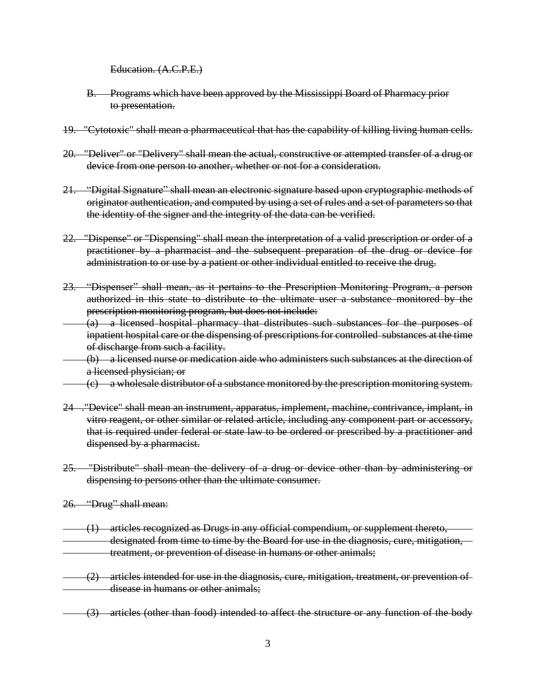Education. (A.C.P.E.)

- B. Programs which have been approved by the Mississippi Board of Pharmacy prior to presentation.
- 19. "Cytotoxic" shall mean a pharmaceutical that has the capability of killing living human cells.
- 20. "Deliver" or "Delivery" shall mean the actual, constructive or attempted transfer of a drug or device from one person to another, whether or not for a consideration.
- 21. "Digital Signature" shall mean an electronic signature based upon cryptographic methods of originator authentication, and computed by using a set of rules and a set of parameters so that the identity of the signer and the integrity of the data can be verified.
- 22. "Dispense" or "Dispensing" shall mean the interpretation of a valid prescription or order of a practitioner by a pharmacist and the subsequent preparation of the drug or device for administration to or use by a patient or other individual entitled to receive the drug.
- 23. "Dispenser" shall mean, as it pertains to the Prescription Monitoring Program, a person authorized in this state to distribute to the ultimate user a substance monitored by the prescription monitoring program, but does not include:
- (a) a licensed hospital pharmacy that distributes such substances for the purposes of inpatient hospital care or the dispensing of prescriptions for controlled substances at the time of discharge from such a facility.
- (b) a licensed nurse or medication aide who administers such substances at the direction of a licensed physician; or
- (c) a wholesale distributor of a substance monitored by the prescription monitoring system.
- 24 ."Device" shall mean an instrument, apparatus, implement, machine, contrivance, implant, in vitro reagent, or other similar or related article, including any component part or accessory, that is required under federal or state law to be ordered or prescribed by a practitioner and dispensed by a pharmacist.
- 25. "Distribute" shall mean the delivery of a drug or device other than by administering or dispensing to persons other than the ultimate consumer.
- 26. "Drug" shall mean:
- (1) articles recognized as Drugs in any official compendium, or supplement thereto, designated from time to time by the Board for use in the diagnosis, cure, mitigation, treatment, or prevention of disease in humans or other animals;
- (2) articles intended for use in the diagnosis, cure, mitigation, treatment, or prevention of disease in humans or other animals:
- (3) articles (other than food) intended to affect the structure or any function of the body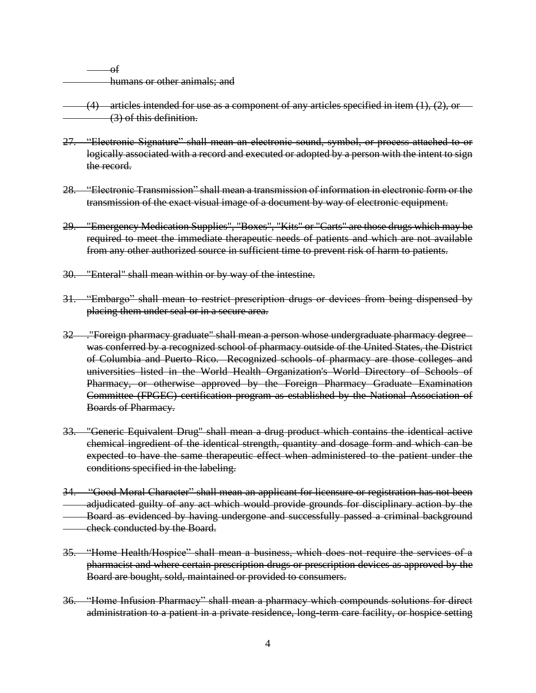of humans or other animals; and

 $(4)$  articles intended for use as a component of any articles specified in item  $(1)$ ,  $(2)$ , or (3) of this definition.

- 27. "Electronic Signature" shall mean an electronic sound, symbol, or process attached to or logically associated with a record and executed or adopted by a person with the intent to sign the record.
- 28. "Electronic Transmission" shall mean a transmission of information in electronic form or the transmission of the exact visual image of a document by way of electronic equipment.
- 29. "Emergency Medication Supplies", "Boxes", "Kits" or "Carts" are those drugs which may be required to meet the immediate therapeutic needs of patients and which are not available from any other authorized source in sufficient time to prevent risk of harm to patients.
- 30. "Enteral" shall mean within or by way of the intestine.
- 31. "Embargo" shall mean to restrict prescription drugs or devices from being dispensed by placing them under seal or in a secure area.
- 32 ."Foreign pharmacy graduate" shall mean a person whose undergraduate pharmacy degree was conferred by a recognized school of pharmacy outside of the United States, the District of Columbia and Puerto Rico. Recognized schools of pharmacy are those colleges and universities listed in the World Health Organization's World Directory of Schools of Pharmacy, or otherwise approved by the Foreign Pharmacy Graduate Examination Committee (FPGEC) certification program as established by the National Association of Boards of Pharmacy.
- 33. "Generic Equivalent Drug" shall mean a drug product which contains the identical active chemical ingredient of the identical strength, quantity and dosage form and which can be expected to have the same therapeutic effect when administered to the patient under the conditions specified in the labeling.
- 34. "Good Moral Character" shall mean an applicant for licensure or registration has not been adjudicated guilty of any act which would provide grounds for disciplinary action by the Board as evidenced by having undergone and successfully passed a criminal background check conducted by the Board.
- 35. "Home Health/Hospice" shall mean a business, which does not require the services of a pharmacist and where certain prescription drugs or prescription devices as approved by the Board are bought, sold, maintained or provided to consumers.
- 36. "Home Infusion Pharmacy" shall mean a pharmacy which compounds solutions for direct administration to a patient in a private residence, long-term care facility, or hospice setting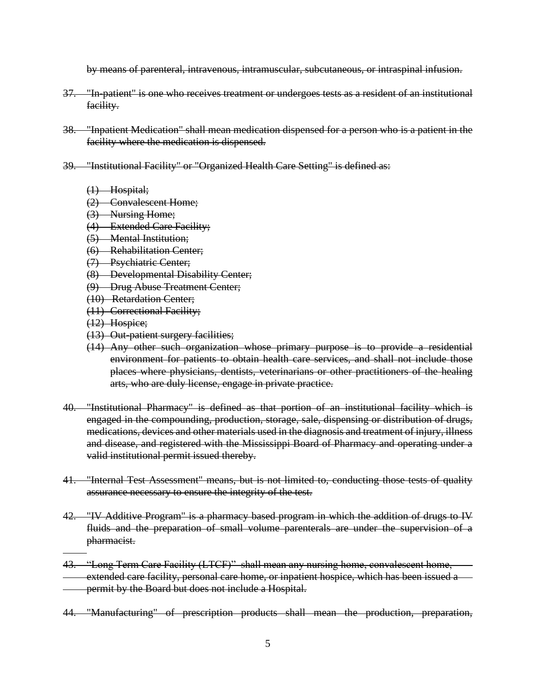by means of parenteral, intravenous, intramuscular, subcutaneous, or intraspinal infusion.

- 37. "In-patient" is one who receives treatment or undergoes tests as a resident of an institutional facility.
- 38. "Inpatient Medication" shall mean medication dispensed for a person who is a patient in the facility where the medication is dispensed.
- 39. "Institutional Facility" or "Organized Health Care Setting" is defined as:
	- $(1)$  Hospital;
	- (2) Convalescent Home;
	- (3) Nursing Home;
	- (4) Extended Care Facility;
	- (5) Mental Institution;
	- (6) Rehabilitation Center;
	- (7) Psychiatric Center;
	- (8) Developmental Disability Center;
	- (9) Drug Abuse Treatment Center;
	- (10) Retardation Center;
	- (11) Correctional Facility;
	- (12) Hospice;
	- (13) Out-patient surgery facilities;
	- (14) Any other such organization whose primary purpose is to provide a residential environment for patients to obtain health care services, and shall not include those places where physicians, dentists, veterinarians or other practitioners of the healing arts, who are duly license, engage in private practice.
- 40. "Institutional Pharmacy" is defined as that portion of an institutional facility which is engaged in the compounding, production, storage, sale, dispensing or distribution of drugs, medications, devices and other materials used in the diagnosis and treatment of injury, illness and disease, and registered with the Mississippi Board of Pharmacy and operating under a valid institutional permit issued thereby.
- 41. "Internal Test Assessment" means, but is not limited to, conducting those tests of quality assurance necessary to ensure the integrity of the test.
- 42. "IV Additive Program" is a pharmacy based program in which the addition of drugs to IV fluids and the preparation of small volume parenterals are under the supervision of a pharmacist.
- 43. "Long Term Care Facility (LTCF)" shall mean any nursing home, convalescent home, extended care facility, personal care home, or inpatient hospice, which has been issued a permit by the Board but does not include a Hospital.
- 44. "Manufacturing" of prescription products shall mean the production, preparation,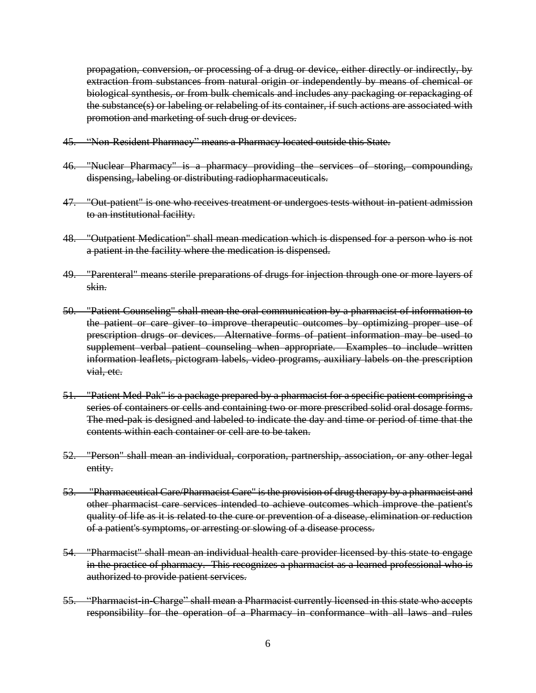propagation, conversion, or processing of a drug or device, either directly or indirectly, by extraction from substances from natural origin or independently by means of chemical or biological synthesis, or from bulk chemicals and includes any packaging or repackaging of the substance(s) or labeling or relabeling of its container, if such actions are associated with promotion and marketing of such drug or devices.

- 45. "Non-Resident Pharmacy" means a Pharmacy located outside this State.
- 46. "Nuclear Pharmacy" is a pharmacy providing the services of storing, compounding, dispensing, labeling or distributing radiopharmaceuticals.
- 47. "Out-patient" is one who receives treatment or undergoes tests without in-patient admission to an institutional facility.
- 48. "Outpatient Medication" shall mean medication which is dispensed for a person who is not a patient in the facility where the medication is dispensed.
- 49. "Parenteral" means sterile preparations of drugs for injection through one or more layers of skin.
- 50. "Patient Counseling" shall mean the oral communication by a pharmacist of information to the patient or care giver to improve therapeutic outcomes by optimizing proper use of prescription drugs or devices. Alternative forms of patient information may be used to supplement verbal patient counseling when appropriate. Examples to include written information leaflets, pictogram labels, video programs, auxiliary labels on the prescription vial, etc.
- 51. "Patient Med-Pak" is a package prepared by a pharmacist for a specific patient comprising a series of containers or cells and containing two or more prescribed solid oral dosage forms. The med-pak is designed and labeled to indicate the day and time or period of time that the contents within each container or cell are to be taken.
- 52. "Person" shall mean an individual, corporation, partnership, association, or any other legal entity.
- 53. "Pharmaceutical Care/Pharmacist Care" is the provision of drug therapy by a pharmacist and other pharmacist care services intended to achieve outcomes which improve the patient's quality of life as it is related to the cure or prevention of a disease, elimination or reduction of a patient's symptoms, or arresting or slowing of a disease process.
- 54. "Pharmacist" shall mean an individual health care provider licensed by this state to engage in the practice of pharmacy. This recognizes a pharmacist as a learned professional who is authorized to provide patient services.
- 55. "Pharmacist-in-Charge" shall mean a Pharmacist currently licensed in this state who accepts responsibility for the operation of a Pharmacy in conformance with all laws and rules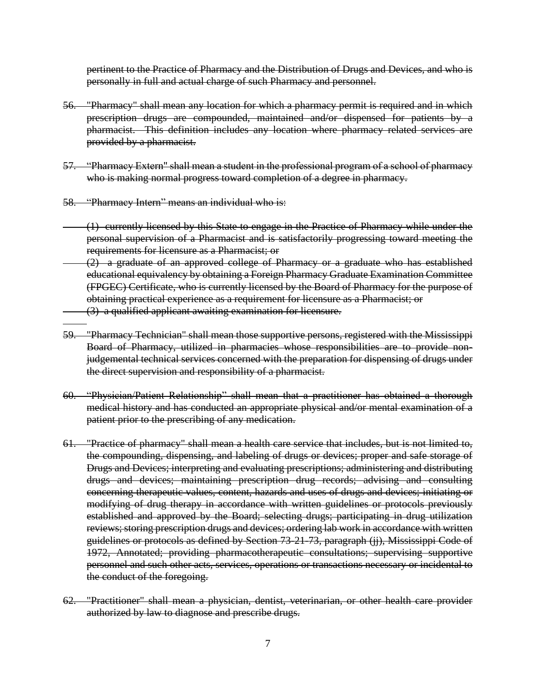pertinent to the Practice of Pharmacy and the Distribution of Drugs and Devices, and who is personally in full and actual charge of such Pharmacy and personnel.

- 56. "Pharmacy" shall mean any location for which a pharmacy permit is required and in which prescription drugs are compounded, maintained and/or dispensed for patients by a pharmacist. This definition includes any location where pharmacy related services are provided by a pharmacist.
- 57. "Pharmacy Extern" shall mean a student in the professional program of a school of pharmacy who is making normal progress toward completion of a degree in pharmacy.
- 58. "Pharmacy Intern" means an individual who is:
- (1) currently licensed by this State to engage in the Practice of Pharmacy while under the personal supervision of a Pharmacist and is satisfactorily progressing toward meeting the requirements for licensure as a Pharmacist; or
- (2) a graduate of an approved college of Pharmacy or a graduate who has established educational equivalency by obtaining a Foreign Pharmacy Graduate Examination Committee (FPGEC) Certificate, who is currently licensed by the Board of Pharmacy for the purpose of obtaining practical experience as a requirement for licensure as a Pharmacist; or (3) a qualified applicant awaiting examination for licensure.
- 59. "Pharmacy Technician" shall mean those supportive persons, registered with the Mississippi Board of Pharmacy, utilized in pharmacies whose responsibilities are to provide nonjudgemental technical services concerned with the preparation for dispensing of drugs under the direct supervision and responsibility of a pharmacist.
- 60. "Physician/Patient Relationship" shall mean that a practitioner has obtained a thorough medical history and has conducted an appropriate physical and/or mental examination of a patient prior to the prescribing of any medication.
- 61. "Practice of pharmacy" shall mean a health care service that includes, but is not limited to, the compounding, dispensing, and labeling of drugs or devices; proper and safe storage of Drugs and Devices; interpreting and evaluating prescriptions; administering and distributing drugs and devices; maintaining prescription drug records; advising and consulting concerning therapeutic values, content, hazards and uses of drugs and devices; initiating or modifying of drug therapy in accordance with written guidelines or protocols previously established and approved by the Board; selecting drugs; participating in drug utilization reviews; storing prescription drugs and devices; ordering lab work in accordance with written guidelines or protocols as defined by Section 73-21-73, paragraph (jj), Mississippi Code of 1972, Annotated; providing pharmacotherapeutic consultations; supervising supportive personnel and such other acts, services, operations or transactions necessary or incidental to the conduct of the foregoing.
- 62. "Practitioner" shall mean a physician, dentist, veterinarian, or other health care provider authorized by law to diagnose and prescribe drugs.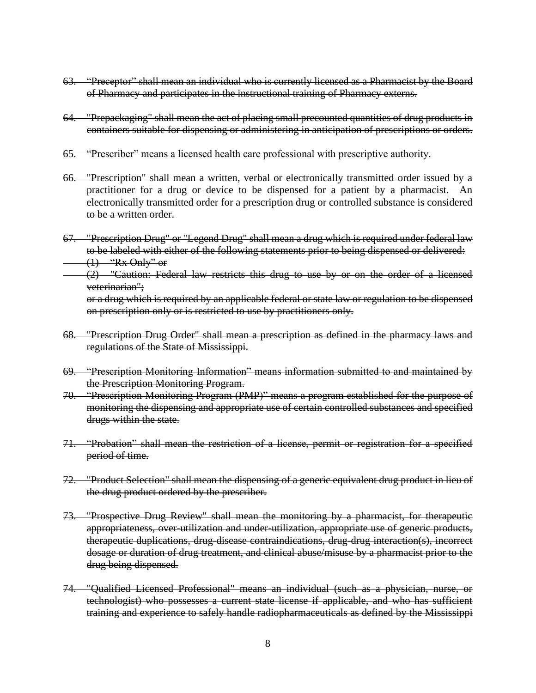- 63. "Preceptor" shall mean an individual who is currently licensed as a Pharmacist by the Board of Pharmacy and participates in the instructional training of Pharmacy externs.
- 64. "Prepackaging" shall mean the act of placing small precounted quantities of drug products in containers suitable for dispensing or administering in anticipation of prescriptions or orders.
- 65. "Prescriber" means a licensed health care professional with prescriptive authority.
- 66. "Prescription" shall mean a written, verbal or electronically transmitted order issued by a practitioner for a drug or device to be dispensed for a patient by a pharmacist. An electronically transmitted order for a prescription drug or controlled substance is considered to be a written order.
- 67. "Prescription Drug" or "Legend Drug" shall mean a drug which is required under federal law to be labeled with either of the following statements prior to being dispensed or delivered:  $(1)$  "Rx Only" or
- $(2)$  "Caution: Federal law restricts this drug to use by or on the order of a licensed veterinarian";

or a drug which is required by an applicable federal or state law or regulation to be dispensed on prescription only or is restricted to use by practitioners only.

- 68. "Prescription Drug Order" shall mean a prescription as defined in the pharmacy laws and regulations of the State of Mississippi.
- 69. "Prescription Monitoring Information" means information submitted to and maintained by the Prescription Monitoring Program.
- 70. "Prescription Monitoring Program (PMP)" means a program established for the purpose of monitoring the dispensing and appropriate use of certain controlled substances and specified drugs within the state.
- 71. "Probation" shall mean the restriction of a license, permit or registration for a specified period of time.
- 72. "Product Selection" shall mean the dispensing of a generic equivalent drug product in lieu of the drug product ordered by the prescriber.
- 73. "Prospective Drug Review" shall mean the monitoring by a pharmacist, for therapeutic appropriateness, over-utilization and under-utilization, appropriate use of generic products, therapeutic duplications, drug-disease contraindications, drug-drug interaction(s), incorrect dosage or duration of drug treatment, and clinical abuse/misuse by a pharmacist prior to the drug being dispensed.
- 74. "Qualified Licensed Professional" means an individual (such as a physician, nurse, or technologist) who possesses a current state license if applicable, and who has sufficient training and experience to safely handle radiopharmaceuticals as defined by the Mississippi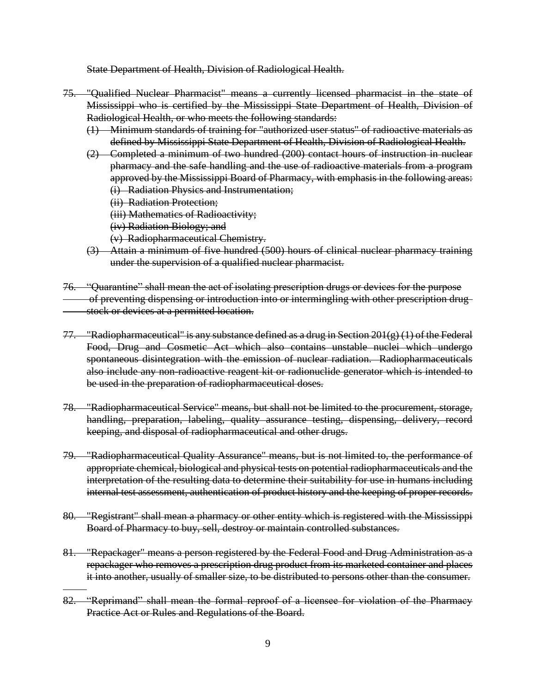State Department of Health, Division of Radiological Health.

- 75. "Qualified Nuclear Pharmacist" means a currently licensed pharmacist in the state of Mississippi who is certified by the Mississippi State Department of Health, Division of Radiological Health, or who meets the following standards:
	- (1) Minimum standards of training for "authorized user status" of radioactive materials as defined by Mississippi State Department of Health, Division of Radiological Health.
	- (2) Completed a minimum of two hundred (200) contact hours of instruction in nuclear pharmacy and the safe handling and the use of radioactive materials from a program approved by the Mississippi Board of Pharmacy, with emphasis in the following areas: (i) Radiation Physics and Instrumentation;
		- (ii) Radiation Protection;
		- (iii) Mathematics of Radioactivity;
		- (iv) Radiation Biology; and
		- (v) Radiopharmaceutical Chemistry.
	- (3) Attain a minimum of five hundred (500) hours of clinical nuclear pharmacy training under the supervision of a qualified nuclear pharmacist.
- 76. "Quarantine" shall mean the act of isolating prescription drugs or devices for the purpose of preventing dispensing or introduction into or intermingling with other prescription drug stock or devices at a permitted location.
- 77. "Radiopharmaceutical" is any substance defined as a drug in Section 201(g) (1) of the Federal Food, Drug and Cosmetic Act which also contains unstable nuclei which undergo spontaneous disintegration with the emission of nuclear radiation. Radiopharmaceuticals also include any non-radioactive reagent kit or radionuclide generator which is intended to be used in the preparation of radiopharmaceutical doses.
- 78. "Radiopharmaceutical Service" means, but shall not be limited to the procurement, storage, handling, preparation, labeling, quality assurance testing, dispensing, delivery, record keeping, and disposal of radiopharmaceutical and other drugs.
- 79. "Radiopharmaceutical Quality Assurance" means, but is not limited to, the performance of appropriate chemical, biological and physical tests on potential radiopharmaceuticals and the interpretation of the resulting data to determine their suitability for use in humans including internal test assessment, authentication of product history and the keeping of proper records.
- 80. "Registrant" shall mean a pharmacy or other entity which is registered with the Mississippi Board of Pharmacy to buy, sell, destroy or maintain controlled substances.
- 81. "Repackager" means a person registered by the Federal Food and Drug Administration as a repackager who removes a prescription drug product from its marketed container and places it into another, usually of smaller size, to be distributed to persons other than the consumer.
- 82. "Reprimand" shall mean the formal reproof of a licensee for violation of the Pharmacy Practice Act or Rules and Regulations of the Board.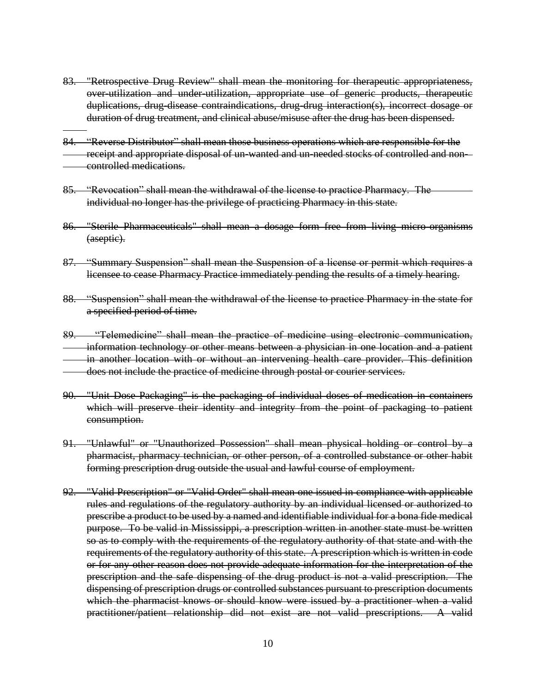- 83. "Retrospective Drug Review" shall mean the monitoring for therapeutic appropriateness, over-utilization and under-utilization, appropriate use of generic products, therapeutic duplications, drug-disease contraindications, drug-drug interaction(s), incorrect dosage or duration of drug treatment, and clinical abuse/misuse after the drug has been dispensed.
- 84. "Reverse Distributor" shall mean those business operations which are responsible for the receipt and appropriate disposal of un-wanted and un-needed stocks of controlled and noncontrolled medications.
- 85. "Revocation" shall mean the withdrawal of the license to practice Pharmacy. The individual no longer has the privilege of practicing Pharmacy in this state.
- 86. "Sterile Pharmaceuticals" shall mean a dosage form free from living micro-organisms (aseptic).
- 87. "Summary Suspension" shall mean the Suspension of a license or permit which requires a licensee to cease Pharmacy Practice immediately pending the results of a timely hearing.
- 88. "Suspension" shall mean the withdrawal of the license to practice Pharmacy in the state for a specified period of time.
- 89. "Telemedicine" shall mean the practice of medicine using electronic communication, information technology or other means between a physician in one location and a patient in another location with or without an intervening health care provider. This definition does not include the practice of medicine through postal or courier services.
- 90. "Unit Dose Packaging" is the packaging of individual doses of medication in containers which will preserve their identity and integrity from the point of packaging to patient consumption.
- 91. "Unlawful" or "Unauthorized Possession" shall mean physical holding or control by a pharmacist, pharmacy technician, or other person, of a controlled substance or other habit forming prescription drug outside the usual and lawful course of employment.
- 92. "Valid Prescription" or "Valid Order" shall mean one issued in compliance with applicable rules and regulations of the regulatory authority by an individual licensed or authorized to prescribe a product to be used by a named and identifiable individual for a bona fide medical purpose. To be valid in Mississippi, a prescription written in another state must be written so as to comply with the requirements of the regulatory authority of that state and with the requirements of the regulatory authority of this state. A prescription which is written in code or for any other reason does not provide adequate information for the interpretation of the prescription and the safe dispensing of the drug product is not a valid prescription. The dispensing of prescription drugs or controlled substances pursuant to prescription documents which the pharmacist knows or should know were issued by a practitioner when a valid practitioner/patient relationship did not exist are not valid prescriptions. A valid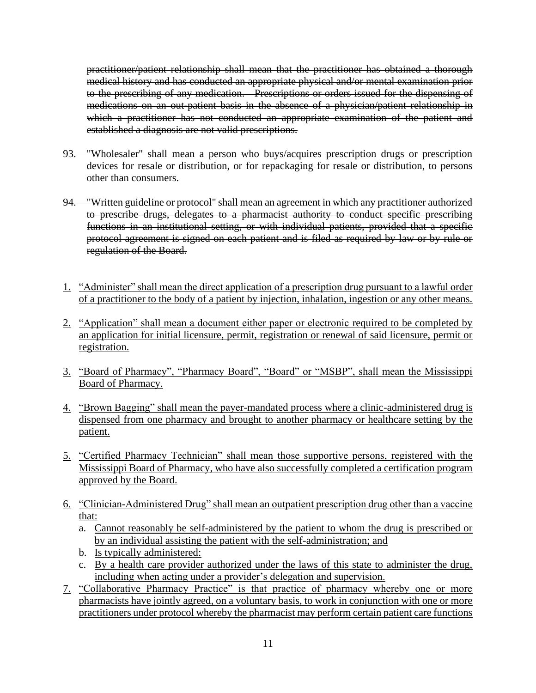practitioner/patient relationship shall mean that the practitioner has obtained a thorough medical history and has conducted an appropriate physical and/or mental examination prior to the prescribing of any medication. Prescriptions or orders issued for the dispensing of medications on an out-patient basis in the absence of a physician/patient relationship in which a practitioner has not conducted an appropriate examination of the patient and established a diagnosis are not valid prescriptions.

- 93. "Wholesaler" shall mean a person who buys/acquires prescription drugs or prescription devices for resale or distribution, or for repackaging for resale or distribution, to persons other than consumers.
- 94. "Written guideline or protocol" shall mean an agreement in which any practitioner authorized to prescribe drugs, delegates to a pharmacist authority to conduct specific prescribing functions in an institutional setting, or with individual patients, provided that a specific protocol agreement is signed on each patient and is filed as required by law or by rule or regulation of the Board.
- 1. "Administer" shall mean the direct application of a prescription drug pursuant to a lawful order of a practitioner to the body of a patient by injection, inhalation, ingestion or any other means.
- 2. "Application" shall mean a document either paper or electronic required to be completed by an application for initial licensure, permit, registration or renewal of said licensure, permit or registration.
- 3. "Board of Pharmacy", "Pharmacy Board", "Board" or "MSBP", shall mean the Mississippi Board of Pharmacy.
- 4. "Brown Bagging" shall mean the payer-mandated process where a clinic-administered drug is dispensed from one pharmacy and brought to another pharmacy or healthcare setting by the patient.
- 5. "Certified Pharmacy Technician" shall mean those supportive persons, registered with the Mississippi Board of Pharmacy, who have also successfully completed a certification program approved by the Board.
- 6. "Clinician-Administered Drug" shall mean an outpatient prescription drug other than a vaccine that:
	- a. Cannot reasonably be self-administered by the patient to whom the drug is prescribed or by an individual assisting the patient with the self-administration; and
	- b. Is typically administered:
	- c. By a health care provider authorized under the laws of this state to administer the drug, including when acting under a provider's delegation and supervision.
- 7. "Collaborative Pharmacy Practice" is that practice of pharmacy whereby one or more pharmacists have jointly agreed, on a voluntary basis, to work in conjunction with one or more practitioners under protocol whereby the pharmacist may perform certain patient care functions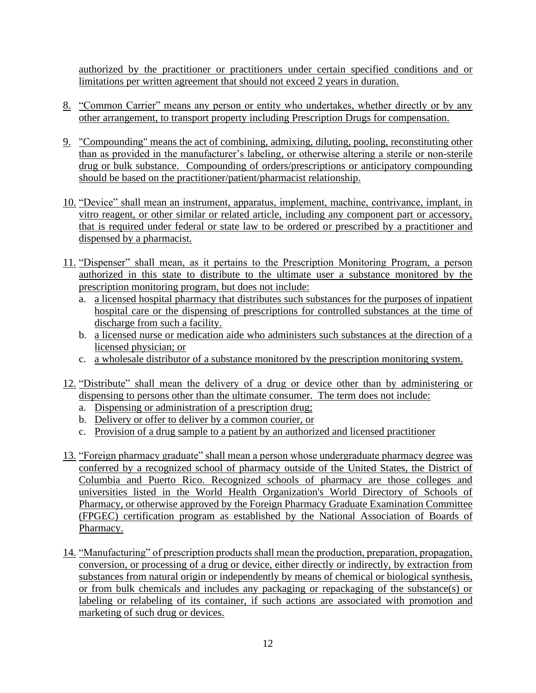authorized by the practitioner or practitioners under certain specified conditions and or limitations per written agreement that should not exceed 2 years in duration.

- 8. "Common Carrier" means any person or entity who undertakes, whether directly or by any other arrangement, to transport property including Prescription Drugs for compensation.
- 9. "Compounding" means the act of combining, admixing, diluting, pooling, reconstituting other than as provided in the manufacturer's labeling, or otherwise altering a sterile or non-sterile drug or bulk substance. Compounding of orders/prescriptions or anticipatory compounding should be based on the practitioner/patient/pharmacist relationship.
- 10. "Device" shall mean an instrument, apparatus, implement, machine, contrivance, implant, in vitro reagent, or other similar or related article, including any component part or accessory, that is required under federal or state law to be ordered or prescribed by a practitioner and dispensed by a pharmacist.
- 11. "Dispenser" shall mean, as it pertains to the Prescription Monitoring Program, a person authorized in this state to distribute to the ultimate user a substance monitored by the prescription monitoring program, but does not include:
	- a. a licensed hospital pharmacy that distributes such substances for the purposes of inpatient hospital care or the dispensing of prescriptions for controlled substances at the time of discharge from such a facility.
	- b. a licensed nurse or medication aide who administers such substances at the direction of a licensed physician; or
	- c. a wholesale distributor of a substance monitored by the prescription monitoring system.
- 12. "Distribute" shall mean the delivery of a drug or device other than by administering or dispensing to persons other than the ultimate consumer. The term does not include:
	- a. Dispensing or administration of a prescription drug;
	- b. Delivery or offer to deliver by a common courier, or
	- c. Provision of a drug sample to a patient by an authorized and licensed practitioner
- 13. "Foreign pharmacy graduate" shall mean a person whose undergraduate pharmacy degree was conferred by a recognized school of pharmacy outside of the United States, the District of Columbia and Puerto Rico. Recognized schools of pharmacy are those colleges and universities listed in the World Health Organization's World Directory of Schools of Pharmacy, or otherwise approved by the Foreign Pharmacy Graduate Examination Committee (FPGEC) certification program as established by the National Association of Boards of Pharmacy.
- 14. "Manufacturing" of prescription products shall mean the production, preparation, propagation, conversion, or processing of a drug or device, either directly or indirectly, by extraction from substances from natural origin or independently by means of chemical or biological synthesis, or from bulk chemicals and includes any packaging or repackaging of the substance(s) or labeling or relabeling of its container, if such actions are associated with promotion and marketing of such drug or devices.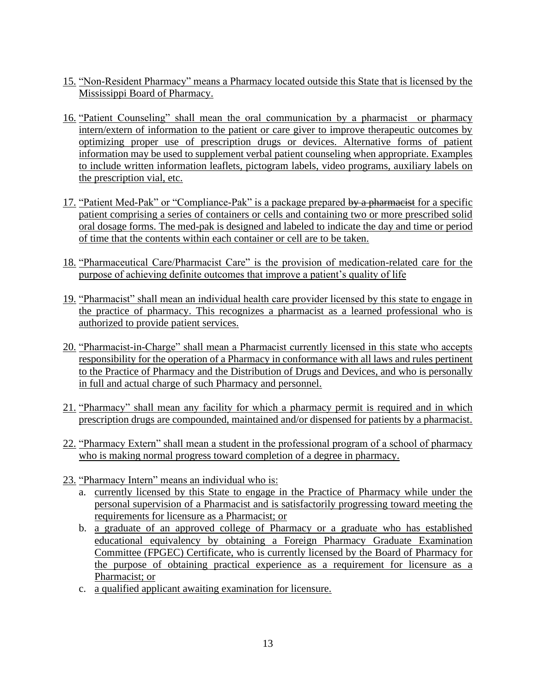- 15. "Non-Resident Pharmacy" means a Pharmacy located outside this State that is licensed by the Mississippi Board of Pharmacy.
- 16. "Patient Counseling" shall mean the oral communication by a pharmacist or pharmacy intern/extern of information to the patient or care giver to improve therapeutic outcomes by optimizing proper use of prescription drugs or devices. Alternative forms of patient information may be used to supplement verbal patient counseling when appropriate. Examples to include written information leaflets, pictogram labels, video programs, auxiliary labels on the prescription vial, etc.
- 17. "Patient Med-Pak" or "Compliance-Pak" is a package prepared by a pharmacist for a specific patient comprising a series of containers or cells and containing two or more prescribed solid oral dosage forms. The med-pak is designed and labeled to indicate the day and time or period of time that the contents within each container or cell are to be taken.
- 18. "Pharmaceutical Care/Pharmacist Care" is the provision of medication-related care for the purpose of achieving definite outcomes that improve a patient's quality of life
- 19. "Pharmacist" shall mean an individual health care provider licensed by this state to engage in the practice of pharmacy. This recognizes a pharmacist as a learned professional who is authorized to provide patient services.
- 20. "Pharmacist-in-Charge" shall mean a Pharmacist currently licensed in this state who accepts responsibility for the operation of a Pharmacy in conformance with all laws and rules pertinent to the Practice of Pharmacy and the Distribution of Drugs and Devices, and who is personally in full and actual charge of such Pharmacy and personnel.
- 21. "Pharmacy" shall mean any facility for which a pharmacy permit is required and in which prescription drugs are compounded, maintained and/or dispensed for patients by a pharmacist.
- 22. "Pharmacy Extern" shall mean a student in the professional program of a school of pharmacy who is making normal progress toward completion of a degree in pharmacy.
- 23. "Pharmacy Intern" means an individual who is:
	- a. currently licensed by this State to engage in the Practice of Pharmacy while under the personal supervision of a Pharmacist and is satisfactorily progressing toward meeting the requirements for licensure as a Pharmacist; or
	- b. a graduate of an approved college of Pharmacy or a graduate who has established educational equivalency by obtaining a Foreign Pharmacy Graduate Examination Committee (FPGEC) Certificate, who is currently licensed by the Board of Pharmacy for the purpose of obtaining practical experience as a requirement for licensure as a Pharmacist; or
	- c. a qualified applicant awaiting examination for licensure.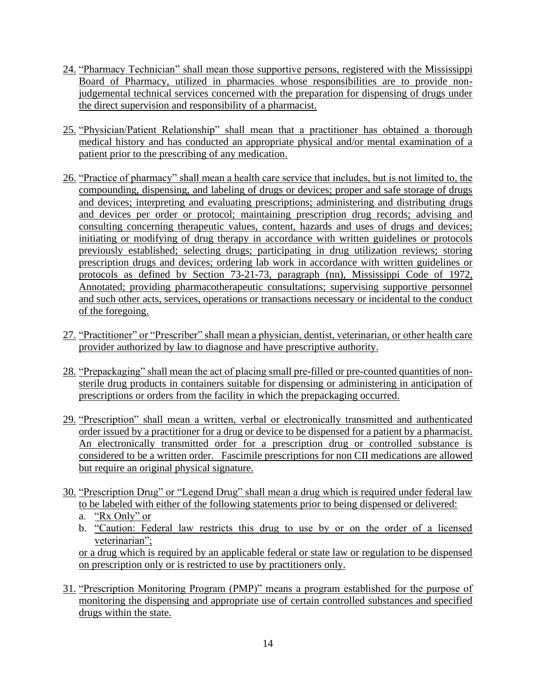- 24. "Pharmacy Technician" shall mean those supportive persons, registered with the Mississippi Board of Pharmacy, utilized in pharmacies whose responsibilities are to provide nonjudgemental technical services concerned with the preparation for dispensing of drugs under the direct supervision and responsibility of a pharmacist.
- 25. "Physician/Patient Relationship" shall mean that a practitioner has obtained a thorough medical history and has conducted an appropriate physical and/or mental examination of a patient prior to the prescribing of any medication.
- 26. "Practice of pharmacy" shall mean a health care service that includes, but is not limited to, the compounding, dispensing, and labeling of drugs or devices; proper and safe storage of drugs and devices; interpreting and evaluating prescriptions; administering and distributing drugs and devices per order or protocol; maintaining prescription drug records; advising and consulting concerning therapeutic values, content, hazards and uses of drugs and devices; initiating or modifying of drug therapy in accordance with written guidelines or protocols previously established; selecting drugs; participating in drug utilization reviews; storing prescription drugs and devices; ordering lab work in accordance with written guidelines or protocols as defined by Section 73-21-73, paragraph (nn), Mississippi Code of 1972, Annotated; providing pharmacotherapeutic consultations; supervising supportive personnel and such other acts, services, operations or transactions necessary or incidental to the conduct of the foregoing.
- 27. "Practitioner" or "Prescriber" shall mean a physician, dentist, veterinarian, or other health care provider authorized by law to diagnose and have prescriptive authority.
- 28. "Prepackaging" shall mean the act of placing small pre-filled or pre-counted quantities of nonsterile drug products in containers suitable for dispensing or administering in anticipation of prescriptions or orders from the facility in which the prepackaging occurred.
- 29. "Prescription" shall mean a written, verbal or electronically transmitted and authenticated order issued by a practitioner for a drug or device to be dispensed for a patient by a pharmacist. An electronically transmitted order for a prescription drug or controlled substance is considered to be a written order. Fascimile prescriptions for non CII medications are allowed but require an original physical signature.
- 30. "Prescription Drug" or "Legend Drug" shall mean a drug which is required under federal law to be labeled with either of the following statements prior to being dispensed or delivered:
	- a. "Rx Only" or
	- b. "Caution: Federal law restricts this drug to use by or on the order of a licensed veterinarian";

or a drug which is required by an applicable federal or state law or regulation to be dispensed on prescription only or is restricted to use by practitioners only.

31. "Prescription Monitoring Program (PMP)" means a program established for the purpose of monitoring the dispensing and appropriate use of certain controlled substances and specified drugs within the state.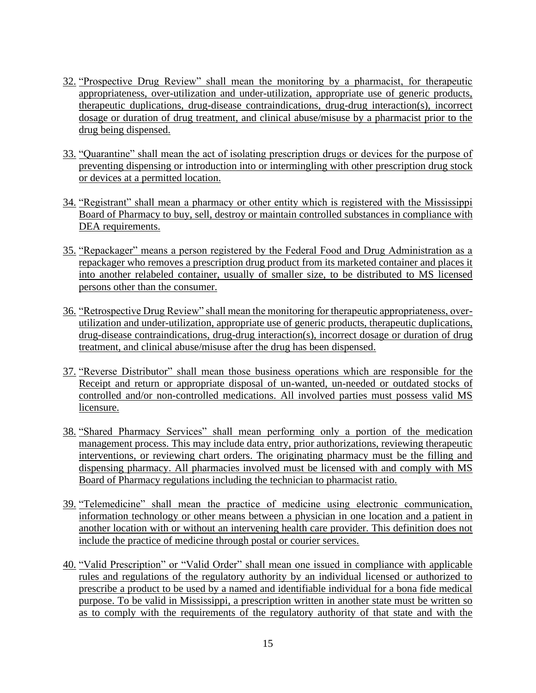- 32. "Prospective Drug Review" shall mean the monitoring by a pharmacist, for therapeutic appropriateness, over-utilization and under-utilization, appropriate use of generic products, therapeutic duplications, drug-disease contraindications, drug-drug interaction(s), incorrect dosage or duration of drug treatment, and clinical abuse/misuse by a pharmacist prior to the drug being dispensed.
- 33. "Quarantine" shall mean the act of isolating prescription drugs or devices for the purpose of preventing dispensing or introduction into or intermingling with other prescription drug stock or devices at a permitted location.
- 34. "Registrant" shall mean a pharmacy or other entity which is registered with the Mississippi Board of Pharmacy to buy, sell, destroy or maintain controlled substances in compliance with DEA requirements.
- 35. "Repackager" means a person registered by the Federal Food and Drug Administration as a repackager who removes a prescription drug product from its marketed container and places it into another relabeled container, usually of smaller size, to be distributed to MS licensed persons other than the consumer.
- 36. "Retrospective Drug Review" shall mean the monitoring for therapeutic appropriateness, overutilization and under-utilization, appropriate use of generic products, therapeutic duplications, drug-disease contraindications, drug-drug interaction(s), incorrect dosage or duration of drug treatment, and clinical abuse/misuse after the drug has been dispensed.
- 37. "Reverse Distributor" shall mean those business operations which are responsible for the Receipt and return or appropriate disposal of un-wanted, un-needed or outdated stocks of controlled and/or non-controlled medications. All involved parties must possess valid MS licensure.
- 38. "Shared Pharmacy Services" shall mean performing only a portion of the medication management process. This may include data entry, prior authorizations, reviewing therapeutic interventions, or reviewing chart orders. The originating pharmacy must be the filling and dispensing pharmacy. All pharmacies involved must be licensed with and comply with MS Board of Pharmacy regulations including the technician to pharmacist ratio.
- 39. "Telemedicine" shall mean the practice of medicine using electronic communication, information technology or other means between a physician in one location and a patient in another location with or without an intervening health care provider. This definition does not include the practice of medicine through postal or courier services.
- 40. "Valid Prescription" or "Valid Order" shall mean one issued in compliance with applicable rules and regulations of the regulatory authority by an individual licensed or authorized to prescribe a product to be used by a named and identifiable individual for a bona fide medical purpose. To be valid in Mississippi, a prescription written in another state must be written so as to comply with the requirements of the regulatory authority of that state and with the